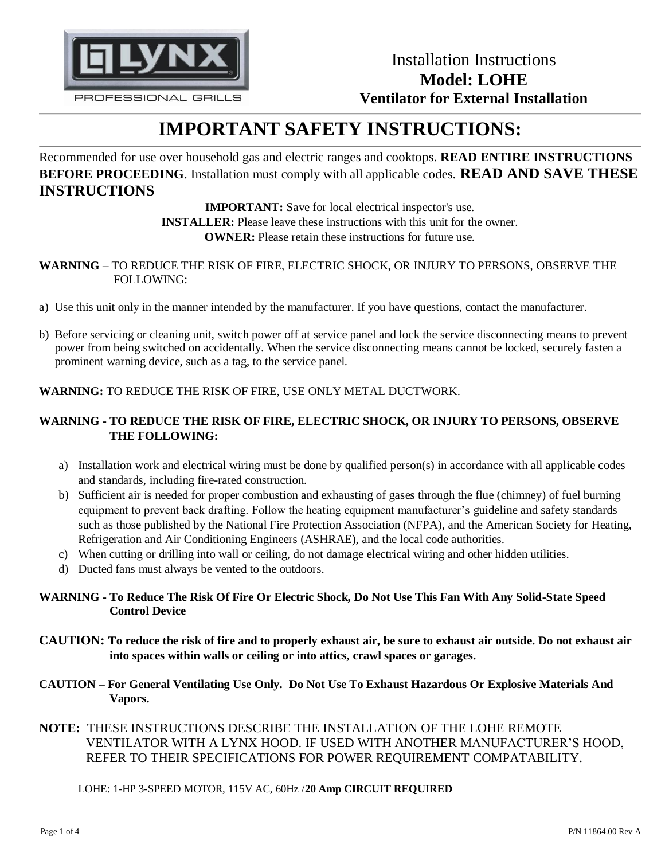

# **IMPORTANT SAFETY INSTRUCTIONS:**

Recommended for use over household gas and electric ranges and cooktops. **READ ENTIRE INSTRUCTIONS BEFORE PROCEEDING**. Installation must comply with all applicable codes. **READ AND SAVE THESE INSTRUCTIONS**

> **IMPORTANT:** Save for local electrical inspector's use. **INSTALLER:** Please leave these instructions with this unit for the owner. **OWNER:** Please retain these instructions for future use.

#### **WARNING** – TO REDUCE THE RISK OF FIRE, ELECTRIC SHOCK, OR INJURY TO PERSONS, OBSERVE THE FOLLOWING:

- a) Use this unit only in the manner intended by the manufacturer. If you have questions, contact the manufacturer.
- b) Before servicing or cleaning unit, switch power off at service panel and lock the service disconnecting means to prevent power from being switched on accidentally. When the service disconnecting means cannot be locked, securely fasten a prominent warning device, such as a tag, to the service panel.

**WARNING:** TO REDUCE THE RISK OF FIRE, USE ONLY METAL DUCTWORK.

### **WARNING - TO REDUCE THE RISK OF FIRE, ELECTRIC SHOCK, OR INJURY TO PERSONS, OBSERVE THE FOLLOWING:**

- a) Installation work and electrical wiring must be done by qualified person(s) in accordance with all applicable codes and standards, including fire-rated construction.
- b) Sufficient air is needed for proper combustion and exhausting of gases through the flue (chimney) of fuel burning equipment to prevent back drafting. Follow the heating equipment manufacturer's guideline and safety standards such as those published by the National Fire Protection Association (NFPA), and the American Society for Heating, Refrigeration and Air Conditioning Engineers (ASHRAE), and the local code authorities.
- c) When cutting or drilling into wall or ceiling, do not damage electrical wiring and other hidden utilities.
- d) Ducted fans must always be vented to the outdoors.

#### **WARNING - To Reduce The Risk Of Fire Or Electric Shock, Do Not Use This Fan With Any Solid-State Speed Control Device**

- **CAUTION: To reduce the risk of fire and to properly exhaust air, be sure to exhaust air outside. Do not exhaust air into spaces within walls or ceiling or into attics, crawl spaces or garages.**
- **CAUTION – For General Ventilating Use Only. Do Not Use To Exhaust Hazardous Or Explosive Materials And Vapors.**
- **NOTE:** THESE INSTRUCTIONS DESCRIBE THE INSTALLATION OF THE LOHE REMOTE VENTILATOR WITH A LYNX HOOD. IF USED WITH ANOTHER MANUFACTURER'S HOOD, REFER TO THEIR SPECIFICATIONS FOR POWER REQUIREMENT COMPATABILITY.

#### LOHE: 1-HP 3-SPEED MOTOR, 115V AC, 60Hz /**20 Amp CIRCUIT REQUIRED**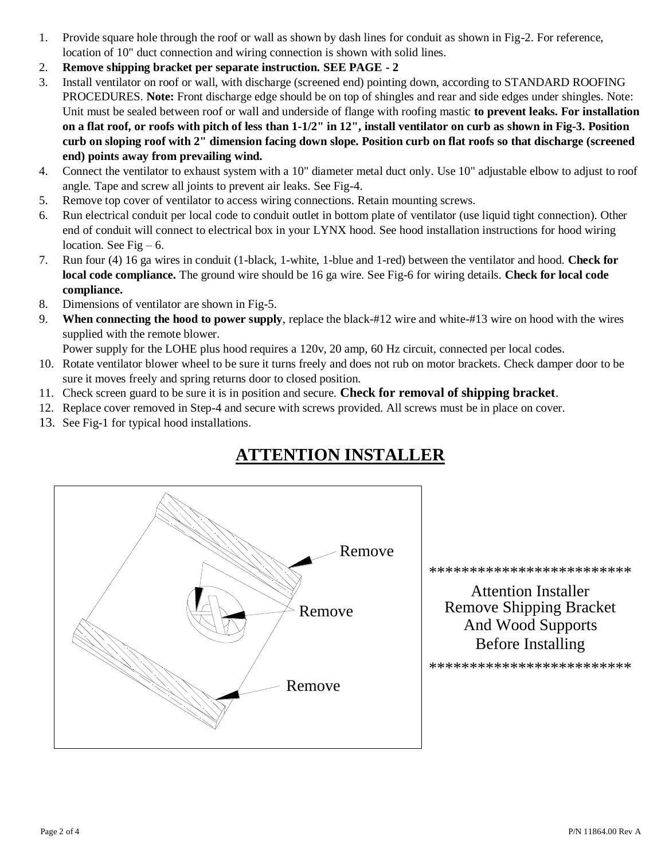- 1. Provide square hole through the roof or wall as shown by dash lines for conduit as shown in Fig-2. For reference, location of 10" duct connection and wiring connection is shown with solid lines.
- 2. **Remove shipping bracket per separate instruction. SEE PAGE - 2**
- 3. Install ventilator on roof or wall, with discharge (screened end) pointing down, according to STANDARD ROOFING PROCEDURES. **Note:** Front discharge edge should be on top of shingles and rear and side edges under shingles. Note: Unit must be sealed between roof or wall and underside of flange with roofing mastic **to prevent leaks. For installation on a flat roof, or roofs with pitch of less than 1-1/2" in 12", install ventilator on curb as shown in Fig-3. Position curb on sloping roof with 2" dimension facing down slope. Position curb on flat roofs so that discharge (screened end) points away from prevailing wind.**
- 4. Connect the ventilator to exhaust system with a 10" diameter metal duct only. Use 10" adjustable elbow to adjust to roof angle. Tape and screw all joints to prevent air leaks. See Fig-4.
- 5. Remove top cover of ventilator to access wiring connections. Retain mounting screws.
- 6. Run electrical conduit per local code to conduit outlet in bottom plate of ventilator (use liquid tight connection). Other end of conduit will connect to electrical box in your LYNX hood. See hood installation instructions for hood wiring location. See Fig  $-6$ .
- 7. Run four (4) 16 ga wires in conduit (1-black, 1-white, 1-blue and 1-red) between the ventilator and hood. **Check for local code compliance.** The ground wire should be 16 ga wire. See Fig-6 for wiring details. **Check for local code compliance.**
- 8. Dimensions of ventilator are shown in Fig-5.
- 9. **When connecting the hood to power supply**, replace the black-#12 wire and white-#13 wire on hood with the wires supplied with the remote blower.

Power supply for the LOHE plus hood requires a 120v, 20 amp, 60 Hz circuit, connected per local codes.

- 10. Rotate ventilator blower wheel to be sure it turns freely and does not rub on motor brackets. Check damper door to be sure it moves freely and spring returns door to closed position.
- 11. Check screen guard to be sure it is in position and secure. **Check for removal of shipping bracket**.
- 12. Replace cover removed in Step-4 and secure with screws provided. All screws must be in place on cover.
- 13. See Fig-1 for typical hood installations.



## **ATTENTION INSTALLER**

\*\*\*\*\*\*\*\*\*\*\*\*\*\*\*\*\*\*\*\*\*\*\*\*\*

Before Installing And Wood Supports Remove Shipping Bracket Attention Installer

\*\*\*\*\*\*\*\*\*\*\*\*\*\*\*\*\*\*\*\*\*\*\*\*\*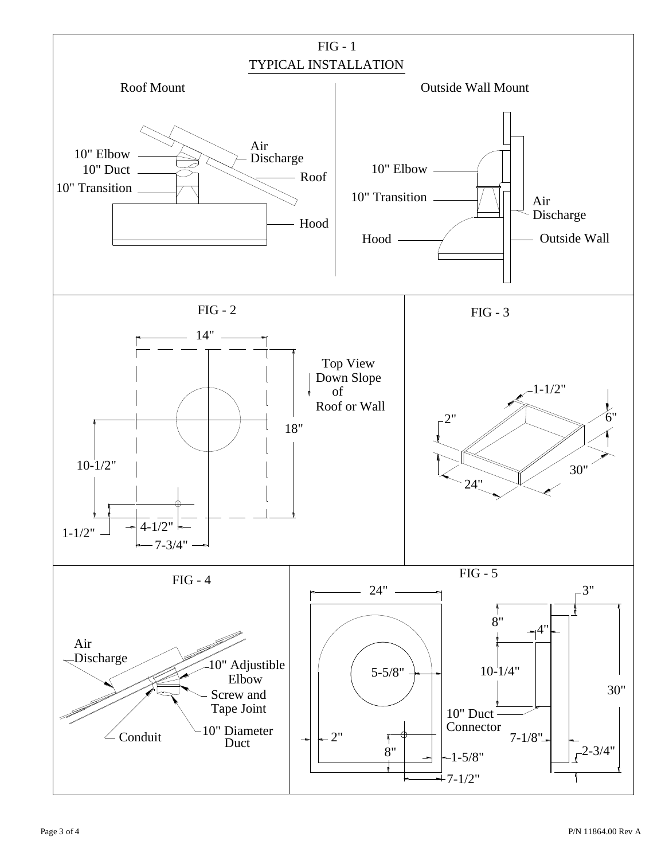